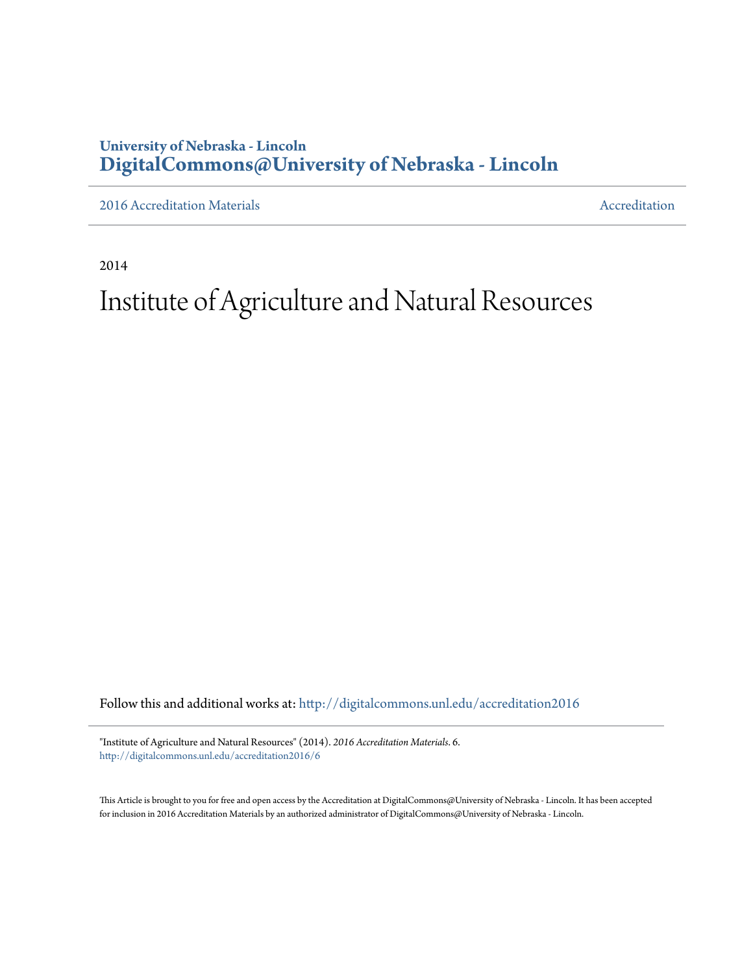### **University of Nebraska - Lincoln [DigitalCommons@University of Nebraska - Lincoln](http://digitalcommons.unl.edu?utm_source=digitalcommons.unl.edu%2Faccreditation2016%2F6&utm_medium=PDF&utm_campaign=PDFCoverPages)**

[2016 Accreditation Materials](http://digitalcommons.unl.edu/accreditation2016?utm_source=digitalcommons.unl.edu%2Faccreditation2016%2F6&utm_medium=PDF&utm_campaign=PDFCoverPages) **[Accreditation](http://digitalcommons.unl.edu/accreditation?utm_source=digitalcommons.unl.edu%2Faccreditation2016%2F6&utm_medium=PDF&utm_campaign=PDFCoverPages) Materials** Accreditation Accreditation

2014

# Institute of Agriculture and Natural Resources

Follow this and additional works at: [http://digitalcommons.unl.edu/accreditation2016](http://digitalcommons.unl.edu/accreditation2016?utm_source=digitalcommons.unl.edu%2Faccreditation2016%2F6&utm_medium=PDF&utm_campaign=PDFCoverPages)

"Institute of Agriculture and Natural Resources" (2014). *2016 Accreditation Materials*. 6. [http://digitalcommons.unl.edu/accreditation2016/6](http://digitalcommons.unl.edu/accreditation2016/6?utm_source=digitalcommons.unl.edu%2Faccreditation2016%2F6&utm_medium=PDF&utm_campaign=PDFCoverPages)

This Article is brought to you for free and open access by the Accreditation at DigitalCommons@University of Nebraska - Lincoln. It has been accepted for inclusion in 2016 Accreditation Materials by an authorized administrator of DigitalCommons@University of Nebraska - Lincoln.